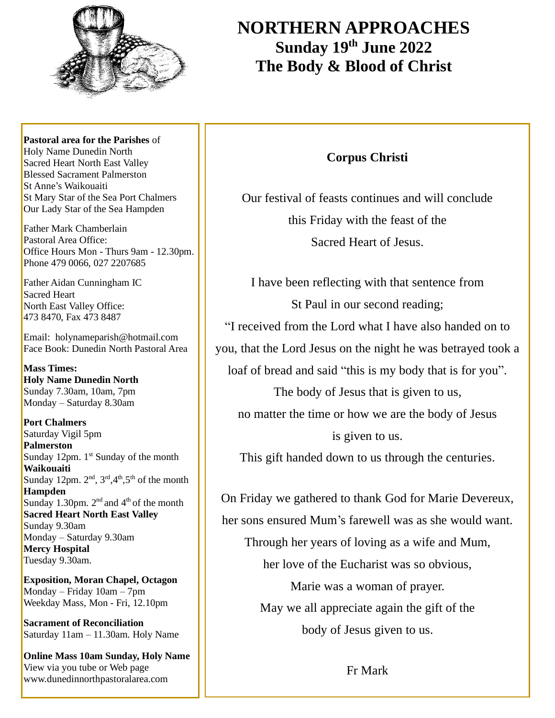

# **NORTHERN APPROACHES Sunday 19 th June 2022 The Body & Blood of Christ**

**Pastoral area for the Parishes** of Holy Name Dunedin North Sacred Heart North East Valley Blessed Sacrament Palmerston St Anne's Waikouaiti St Mary Star of the Sea Port Chalmers Our Lady Star of the Sea Hampden

Father Mark Chamberlain Pastoral Area Office: Office Hours Mon - Thurs 9am - 12.30pm. Phone 479 0066, 027 2207685

Father Aidan Cunningham IC Sacred Heart North East Valley Office: 473 8470, Fax 473 8487

Email: holynameparish@hotmail.com Face Book: Dunedin North Pastoral Area

**Mass Times: Holy Name Dunedin North** Sunday 7.30am, 10am, 7pm Monday – Saturday 8.30am

**Port Chalmers** Saturday Vigil 5pm **Palmerston** Sunday 12pm. 1<sup>st</sup> Sunday of the month **Waikouaiti** Sunday 12pm.  $2<sup>nd</sup>$ ,  $3<sup>rd</sup>$ ,  $4<sup>th</sup>$ ,  $5<sup>th</sup>$  of the month **Hampden** Sunday 1.30pm.  $2<sup>nd</sup>$  and  $4<sup>th</sup>$  of the month **Sacred Heart North East Valley** Sunday 9.30am Monday – Saturday 9.30am **Mercy Hospital** Tuesday 9.30am.

**Exposition, Moran Chapel, Octagon** Monday – Friday 10am – 7pm Weekday Mass, Mon - Fri, 12.10pm

**Sacrament of Reconciliation** Saturday 11am – 11.30am. Holy Name

**Online Mass 10am Sunday, Holy Name** View via you tube or Web page www.dunedinnorthpastoralarea.com

## **Corpus Christi**

Our festival of feasts continues and will conclude this Friday with the feast of the Sacred Heart of Jesus.

I have been reflecting with that sentence from St Paul in our second reading; "I received from the Lord what I have also handed on to you, that the Lord Jesus on the night he was betrayed took a loaf of bread and said "this is my body that is for you". The body of Jesus that is given to us, no matter the time or how we are the body of Jesus is given to us.

This gift handed down to us through the centuries.

On Friday we gathered to thank God for Marie Devereux, her sons ensured Mum's farewell was as she would want. Through her years of loving as a wife and Mum, her love of the Eucharist was so obvious, Marie was a woman of prayer. May we all appreciate again the gift of the body of Jesus given to us.

Fr Mark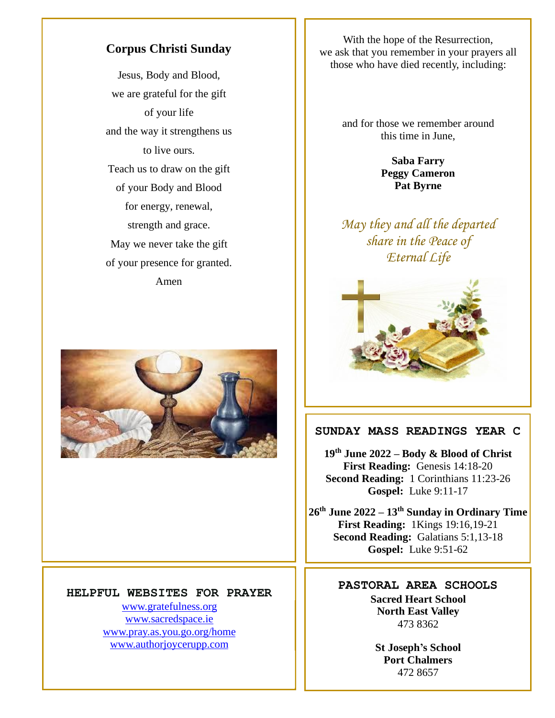#### **Corpus Christi Sunday**

Jesus, Body and Blood, we are grateful for the gift of your life and the way it strengthens us to live ours. Teach us to draw on the gift of your Body and Blood for energy, renewal, strength and grace. May we never take the gift of your presence for granted. Amen



#### **HELPFUL WEBSITES FOR PRAYER**

[www.gratefulness.org](http://www.gratefulness.org/) [www.sacredspace.ie](http://www.sacredspace.ie/) [www.pray.as.you.go.org/home](http://www.pray.as.you.go.org/home) [www.authorjoycerupp.com](http://www.authorjoycerupp.com/)

With the hope of the Resurrection, we ask that you remember in your prayers all those who have died recently, including:

> and for those we remember around this time in June,

> > **Saba Farry Peggy Cameron Pat Byrne**

*May they and all the departed share in the Peace of Eternal Life*



#### **SUNDAY MASS READINGS YEAR C**

**19 th June 2022 – Body & Blood of Christ First Reading:** Genesis 14:18-20 **Second Reading:** 1 Corinthians 11:23-26 **Gospel:** Luke 9:11-17

**26th June 2022 – 13th Sunday in Ordinary Time First Reading:** 1Kings 19:16,19-21 **Second Reading:** Galatians 5:1,13-18 **Gospel:** Luke 9:51-62

> **PASTORAL AREA SCHOOLS Sacred Heart School North East Valley** 473 8362

> > **St Joseph's School Port Chalmers** 472 8657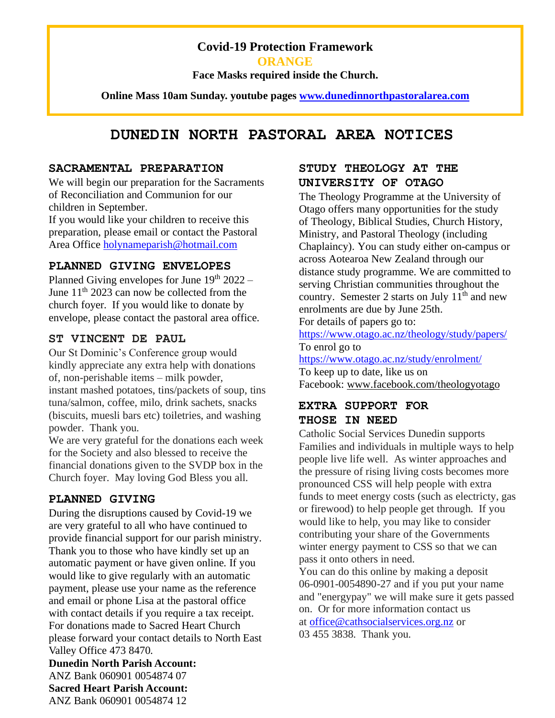### **Covid-19 Protection Framework**

**ORANGE**

**Face Masks required inside the Church.**

**Online Mass 10am Sunday. youtube pages [www.dunedinnorthpastoralarea.com](http://www.dunedinnorthpastoralarea.com/)**

# **DUNEDIN NORTH PASTORAL AREA NOTICES**

#### **SACRAMENTAL PREPARATION**

We will begin our preparation for the Sacraments of Reconciliation and Communion for our children in September.

If you would like your children to receive this preparation, please email or contact the Pastoral Area Office [holynameparish@hotmail.com](mailto:holynameparish@hotmail.com)

#### **PLANNED GIVING ENVELOPES**

Planned Giving envelopes for June  $19<sup>th</sup> 2022$  – June  $11<sup>th</sup>$  2023 can now be collected from the church foyer. If you would like to donate by envelope, please contact the pastoral area office.

#### **ST VINCENT DE PAUL**

Our St Dominic's Conference group would kindly appreciate any extra help with donations of, non-perishable items – milk powder, instant mashed potatoes, tins/packets of soup, tins tuna/salmon, coffee, milo, drink sachets, snacks (biscuits, muesli bars etc) toiletries, and washing powder. Thank you.

We are very grateful for the donations each week for the Society and also blessed to receive the financial donations given to the SVDP box in the Church foyer. May loving God Bless you all.

#### **PLANNED GIVING**

During the disruptions caused by Covid-19 we are very grateful to all who have continued to provide financial support for our parish ministry. Thank you to those who have kindly set up an automatic payment or have given online. If you would like to give regularly with an automatic payment, please use your name as the reference and email or phone Lisa at the pastoral office with contact details if you require a tax receipt. For donations made to Sacred Heart Church please forward your contact details to North East Valley Office 473 8470.

**Dunedin North Parish Account:** ANZ Bank 060901 0054874 07 **Sacred Heart Parish Account:** ANZ Bank 060901 0054874 12

#### **STUDY THEOLOGY AT THE UNIVERSITY OF OTAGO**

The Theology Programme at the University of Otago offers many opportunities for the study of Theology, Biblical Studies, Church History, Ministry, and Pastoral Theology (including Chaplaincy). You can study either on-campus or across Aotearoa New Zealand through our distance study programme. We are committed to serving Christian communities throughout the country. Semester 2 starts on July  $11<sup>th</sup>$  and new enrolments are due by June 25th.

For details of papers go to:

<https://www.otago.ac.nz/theology/study/papers/> To enrol go to

<https://www.otago.ac.nz/study/enrolment/> To keep up to date, like us on Facebook: [www.facebook.com/theologyotago](http://www.facebook.com/theologyotago)

## **EXTRA SUPPORT FOR THOSE IN NEED**

Catholic Social Services Dunedin supports Families and individuals in multiple ways to help people live life well. As winter approaches and the pressure of rising living costs becomes more pronounced CSS will help people with extra funds to meet energy costs (such as electricty, gas or firewood) to help people get through. If you would like to help, you may like to consider contributing your share of the Governments winter energy payment to CSS so that we can pass it onto others in need.

You can do this online by making a deposit 06-0901-0054890-27 and if you put your name and "energypay" we will make sure it gets passed on. Or for more information contact us at [office@cathsocialservices.org.nz](mailto:office@cathsocialservices.org.nz) or 03 455 3838. Thank you.